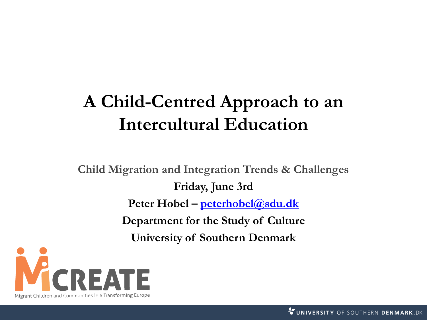### **A Child-Centred Approach to an Intercultural Education**

**Child Migration and Integration Trends & Challenges Friday, June 3rd Peter Hobel – [peterhobel@sdu.dk](mailto:peterhobel@sdu.dk) Department for the Study of Culture University of Southern Denmark**

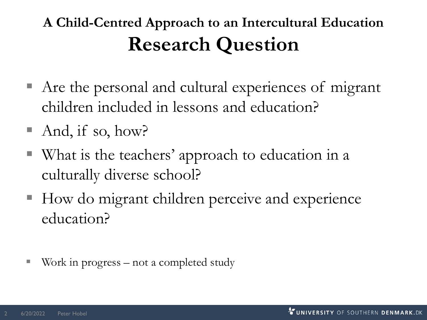### **A Child-Centred Approach to an Intercultural Education Research Question**

- Are the personal and cultural experiences of migrant children included in lessons and education?
- And, if so, how?
- What is the teachers' approach to education in a culturally diverse school?
- How do migrant children perceive and experience education?
- Work in progress  $-$  not a completed study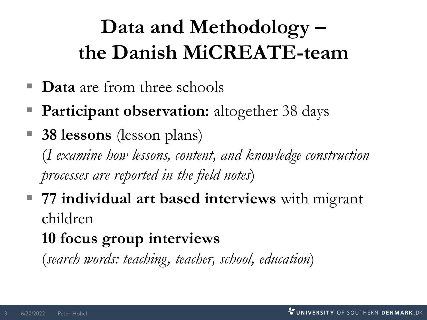# **Data and Methodology – the Danish MiCREATE-team**

- **Data** are from three schools
- **Participant observation:** altogether 38 days
- **38 lessons** (lesson plans) (*I examine how lessons, content, and knowledge construction processes are reported in the field notes*)
- **77 individual art based interviews** with migrant children

### **10 focus group interviews**

(*search words: teaching, teacher, school, education*)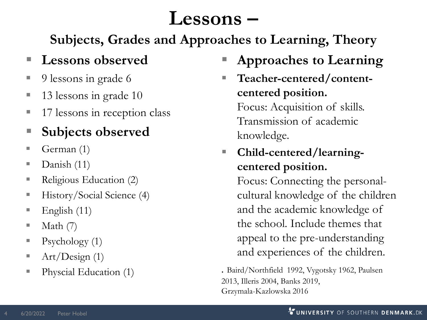# **Lessons –**

**Subjects, Grades and Approaches to Learning, Theory**

#### **Lessons** observed

- 9 lessons in grade 6
- 13 lessons in grade 10
- 17 lessons in reception class
- **Subjects observed**
- **•** German  $(1)$
- Danish (11)
- Religious Education (2)
- History/Social Science (4)
- $\blacksquare$  English (11)
- $\blacksquare$  Math (7)
- $\blacksquare$  Psychology (1)
- $\blacksquare$  Art/Design (1)
- Physcial Education (1)
- **Approaches to Learning**
- Teacher-centered/content**centered position.** Focus: Acquisition of skills. Transmission of academic knowledge.
- **Child-centered/learningcentered position.**

Focus: Connecting the personalcultural knowledge of the children and the academic knowledge of the school. Include themes that appeal to the pre-understanding and experiences of the children.

. Baird/Northfield 1992, Vygotsky 1962, Paulsen 2013, Illeris 2004, Banks 2019, Grzymala-Kazlowska 2016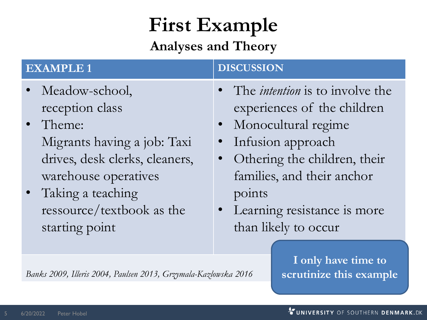# **First Example**

#### **Analyses and Theory**

| <b>EXAMPLE 1</b> |                                                                                                                  | <b>DISCUSSION</b>                                                                                                                                       |
|------------------|------------------------------------------------------------------------------------------------------------------|---------------------------------------------------------------------------------------------------------------------------------------------------------|
|                  | • Meadow-school,<br>reception class<br>• Theme:<br>Migrants having a job: Taxi<br>drives, desk clerks, cleaners, | • The <i>intention</i> is to involve the<br>experiences of the children<br>• Monocultural regime<br>Infusion approach<br>• Othering the children, their |
|                  | warehouse operatives<br>Taking a teaching<br>ressource/textbook as the<br>starting point                         | families, and their anchor<br>points<br>Learning resistance is more<br>than likely to occur                                                             |

*Banks 2009, Illeris 2004, Paulsen 2013, Grzymala-Kazlowska 2016*

**I only have time to scrutinize this example**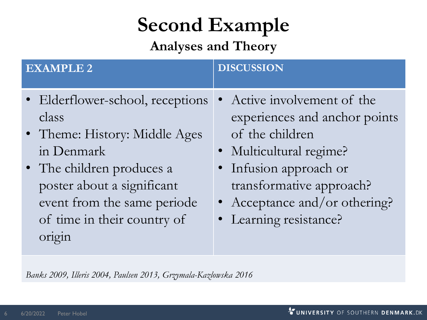# **Second Example**

**Analyses and Theory**

| <b>EXAMPLE 2</b>                                                                                                                                                                                                            | <b>DISCUSSION</b>                                                                                                                                                                                                         |
|-----------------------------------------------------------------------------------------------------------------------------------------------------------------------------------------------------------------------------|---------------------------------------------------------------------------------------------------------------------------------------------------------------------------------------------------------------------------|
| • Elderflower-school, receptions<br>class<br>• Theme: History: Middle Ages<br>in Denmark<br>• The children produces a<br>poster about a significant<br>event from the same periode<br>of time in their country of<br>origin | Active involvement of the<br>experiences and anchor points<br>of the children<br>· Multicultural regime?<br>• Infusion approach or<br>transformative approach?<br>• Acceptance and/or othering?<br>• Learning resistance? |

*Banks 2009, Illeris 2004, Paulsen 2013, Grzymala-Kazlowska 2016*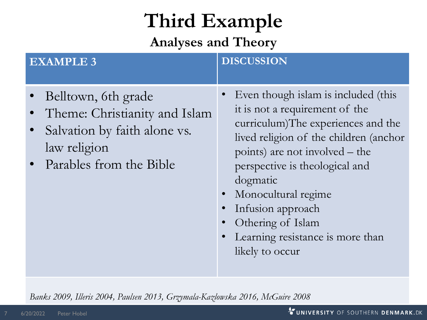# **Third Example**

**Analyses and Theory**

| <b>EXAMPLE 3</b>                                                                                                                | <b>DISCUSSION</b>                                                                                                                                                                                                                                                                                                                                                          |
|---------------------------------------------------------------------------------------------------------------------------------|----------------------------------------------------------------------------------------------------------------------------------------------------------------------------------------------------------------------------------------------------------------------------------------------------------------------------------------------------------------------------|
| Belltown, 6th grade<br>Theme: Christianity and Islam<br>Salvation by faith alone vs.<br>law religion<br>Parables from the Bible | Even though islam is included (this<br>it is not a requirement of the<br>curriculum)The experiences and the<br>lived religion of the children (anchor<br>points) are not involved – the<br>perspective is theological and<br>dogmatic<br>Monocultural regime<br>$\bullet$<br>Infusion approach<br>Othering of Islam<br>Learning resistance is more than<br>likely to occur |

*Banks 2009, Illeris 2004, Paulsen 2013, Grzymala-Kazlowska 2016, McGuire 2008*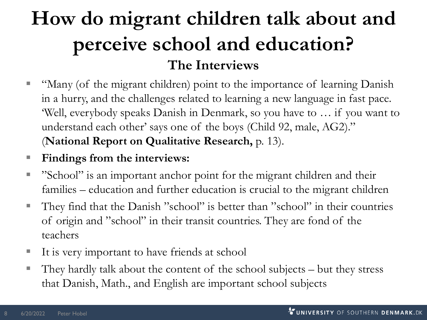## **How do migrant children talk about and perceive school and education? The Interviews**

- "Many (of the migrant children) point to the importance of learning Danish in a hurry, and the challenges related to learning a new language in fast pace. 'Well, everybody speaks Danish in Denmark, so you have to … if you want to understand each other' says one of the boys (Child 92, male, AG2)." (**National Report on Qualitative Research,** p. 13).
- Findings from the interviews:
- "School" is an important anchor point for the migrant children and their families – education and further education is crucial to the migrant children
- They find that the Danish "school" is better than "school" in their countries of origin and "school" in their transit countries. They are fond of the teachers
- It is very important to have friends at school
- They hardly talk about the content of the school subjects but they stress that Danish, Math., and English are important school subjects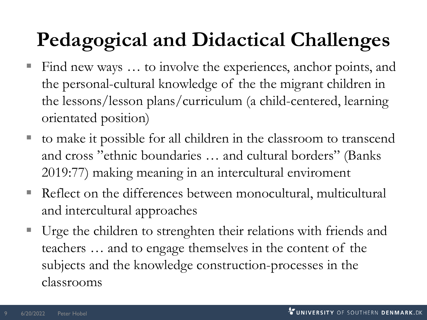# **Pedagogical and Didactical Challenges**

- Find new ways ... to involve the experiences, anchor points, and the personal-cultural knowledge of the the migrant children in the lessons/lesson plans/curriculum (a child-centered, learning orientated position)
- to make it possible for all children in the classroom to transcend and cross "ethnic boundaries … and cultural borders" (Banks 2019:77) making meaning in an intercultural enviroment
- Reflect on the differences between monocultural, multicultural and intercultural approaches
- Urge the children to strenghten their relations with friends and teachers … and to engage themselves in the content of the subjects and the knowledge construction-processes in the classrooms